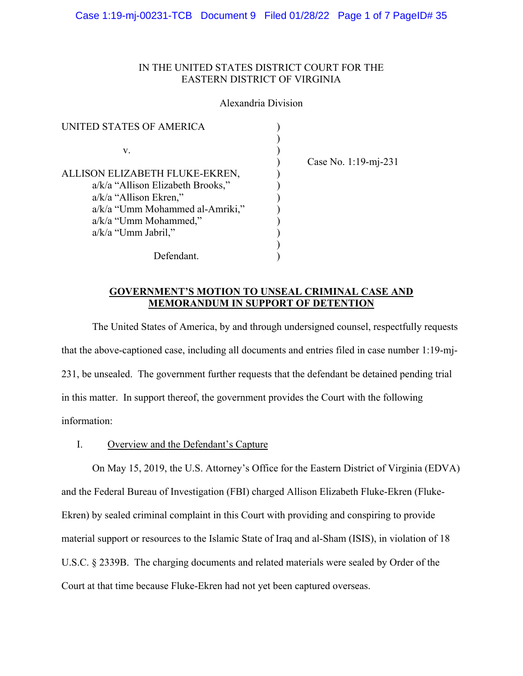# IN THE UNITED STATES DISTRICT COURT FOR THE EASTERN DISTRICT OF VIRGINIA

## Alexandria Division

| UNITED STATES OF AMERICA          |  |
|-----------------------------------|--|
|                                   |  |
| V.                                |  |
|                                   |  |
| ALLISON ELIZABETH FLUKE-EKREN,    |  |
| a/k/a "Allison Elizabeth Brooks," |  |
| $a/k/a$ "Allison Ekren,"          |  |
| a/k/a "Umm Mohammed al-Amriki,"   |  |
| a/k/a "Umm Mohammed,"             |  |
| $a/k/a$ "Umm Jabril,"             |  |
|                                   |  |
| Defendant.                        |  |

) Case No. 1:19-mj-231

## **GOVERNMENT'S MOTION TO UNSEAL CRIMINAL CASE AND MEMORANDUM IN SUPPORT OF DETENTION**

 The United States of America, by and through undersigned counsel, respectfully requests that the above-captioned case, including all documents and entries filed in case number 1:19-mj-231, be unsealed. The government further requests that the defendant be detained pending trial in this matter. In support thereof, the government provides the Court with the following information:

## I. Overview and the Defendant's Capture

On May 15, 2019, the U.S. Attorney's Office for the Eastern District of Virginia (EDVA) and the Federal Bureau of Investigation (FBI) charged Allison Elizabeth Fluke-Ekren (Fluke-Ekren) by sealed criminal complaint in this Court with providing and conspiring to provide material support or resources to the Islamic State of Iraq and al-Sham (ISIS), in violation of 18 U.S.C. § 2339B. The charging documents and related materials were sealed by Order of the Court at that time because Fluke-Ekren had not yet been captured overseas.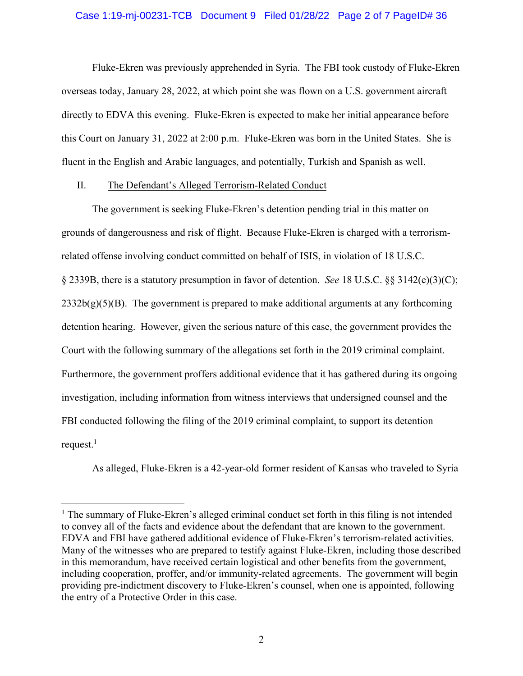#### Case 1:19-mj-00231-TCB Document 9 Filed 01/28/22 Page 2 of 7 PageID# 36

Fluke-Ekren was previously apprehended in Syria. The FBI took custody of Fluke-Ekren overseas today, January 28, 2022, at which point she was flown on a U.S. government aircraft directly to EDVA this evening. Fluke-Ekren is expected to make her initial appearance before this Court on January 31, 2022 at 2:00 p.m. Fluke-Ekren was born in the United States. She is fluent in the English and Arabic languages, and potentially, Turkish and Spanish as well.

## II. The Defendant's Alleged Terrorism-Related Conduct

The government is seeking Fluke-Ekren's detention pending trial in this matter on grounds of dangerousness and risk of flight. Because Fluke-Ekren is charged with a terrorismrelated offense involving conduct committed on behalf of ISIS, in violation of 18 U.S.C. § 2339B, there is a statutory presumption in favor of detention. *See* 18 U.S.C. §§ 3142(e)(3)(C);  $2332b(g)(5)(B)$ . The government is prepared to make additional arguments at any forthcoming detention hearing. However, given the serious nature of this case, the government provides the Court with the following summary of the allegations set forth in the 2019 criminal complaint. Furthermore, the government proffers additional evidence that it has gathered during its ongoing investigation, including information from witness interviews that undersigned counsel and the FBI conducted following the filing of the 2019 criminal complaint, to support its detention request. $^1$ 

As alleged, Fluke-Ekren is a 42-year-old former resident of Kansas who traveled to Syria

<sup>&</sup>lt;sup>1</sup> The summary of Fluke-Ekren's alleged criminal conduct set forth in this filing is not intended to convey all of the facts and evidence about the defendant that are known to the government. EDVA and FBI have gathered additional evidence of Fluke-Ekren's terrorism-related activities. Many of the witnesses who are prepared to testify against Fluke-Ekren, including those described in this memorandum, have received certain logistical and other benefits from the government, including cooperation, proffer, and/or immunity-related agreements. The government will begin providing pre-indictment discovery to Fluke-Ekren's counsel, when one is appointed, following the entry of a Protective Order in this case.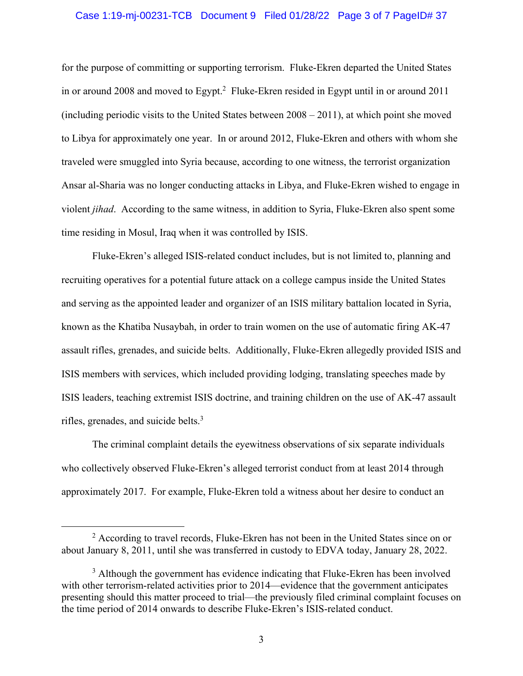#### Case 1:19-mj-00231-TCB Document 9 Filed 01/28/22 Page 3 of 7 PageID# 37

for the purpose of committing or supporting terrorism. Fluke-Ekren departed the United States in or around 2008 and moved to Egypt.<sup>2</sup> Fluke-Ekren resided in Egypt until in or around 2011 (including periodic visits to the United States between 2008 – 2011), at which point she moved to Libya for approximately one year. In or around 2012, Fluke-Ekren and others with whom she traveled were smuggled into Syria because, according to one witness, the terrorist organization Ansar al-Sharia was no longer conducting attacks in Libya, and Fluke-Ekren wished to engage in violent *jihad*. According to the same witness, in addition to Syria, Fluke-Ekren also spent some time residing in Mosul, Iraq when it was controlled by ISIS.

Fluke-Ekren's alleged ISIS-related conduct includes, but is not limited to, planning and recruiting operatives for a potential future attack on a college campus inside the United States and serving as the appointed leader and organizer of an ISIS military battalion located in Syria, known as the Khatiba Nusaybah, in order to train women on the use of automatic firing AK-47 assault rifles, grenades, and suicide belts. Additionally, Fluke-Ekren allegedly provided ISIS and ISIS members with services, which included providing lodging, translating speeches made by ISIS leaders, teaching extremist ISIS doctrine, and training children on the use of AK-47 assault rifles, grenades, and suicide belts.<sup>3</sup>

The criminal complaint details the eyewitness observations of six separate individuals who collectively observed Fluke-Ekren's alleged terrorist conduct from at least 2014 through approximately 2017. For example, Fluke-Ekren told a witness about her desire to conduct an

<sup>&</sup>lt;sup>2</sup> According to travel records, Fluke-Ekren has not been in the United States since on or about January 8, 2011, until she was transferred in custody to EDVA today, January 28, 2022.

<sup>&</sup>lt;sup>3</sup> Although the government has evidence indicating that Fluke-Ekren has been involved with other terrorism-related activities prior to 2014—evidence that the government anticipates presenting should this matter proceed to trial—the previously filed criminal complaint focuses on the time period of 2014 onwards to describe Fluke-Ekren's ISIS-related conduct.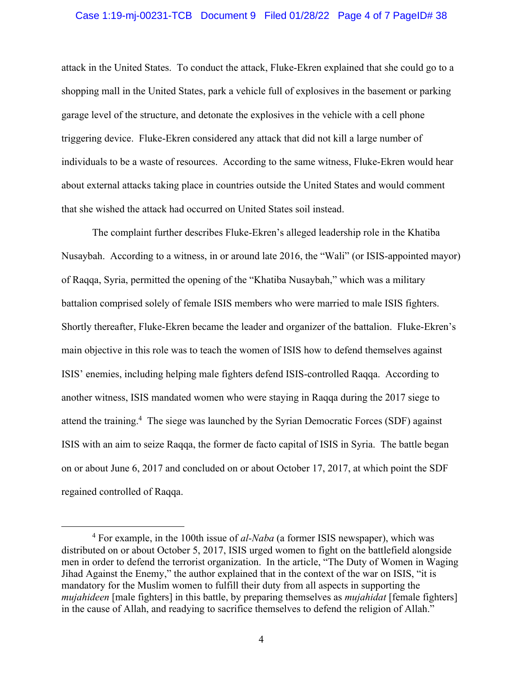#### Case 1:19-mj-00231-TCB Document 9 Filed 01/28/22 Page 4 of 7 PageID# 38

attack in the United States. To conduct the attack, Fluke-Ekren explained that she could go to a shopping mall in the United States, park a vehicle full of explosives in the basement or parking garage level of the structure, and detonate the explosives in the vehicle with a cell phone triggering device. Fluke-Ekren considered any attack that did not kill a large number of individuals to be a waste of resources. According to the same witness, Fluke-Ekren would hear about external attacks taking place in countries outside the United States and would comment that she wished the attack had occurred on United States soil instead.

The complaint further describes Fluke-Ekren's alleged leadership role in the Khatiba Nusaybah. According to a witness, in or around late 2016, the "Wali" (or ISIS-appointed mayor) of Raqqa, Syria, permitted the opening of the "Khatiba Nusaybah," which was a military battalion comprised solely of female ISIS members who were married to male ISIS fighters. Shortly thereafter, Fluke-Ekren became the leader and organizer of the battalion. Fluke-Ekren's main objective in this role was to teach the women of ISIS how to defend themselves against ISIS' enemies, including helping male fighters defend ISIS-controlled Raqqa. According to another witness, ISIS mandated women who were staying in Raqqa during the 2017 siege to attend the training.<sup>4</sup> The siege was launched by the Syrian Democratic Forces (SDF) against ISIS with an aim to seize Raqqa, the former de facto capital of ISIS in Syria. The battle began on or about June 6, 2017 and concluded on or about October 17, 2017, at which point the SDF regained controlled of Raqqa.

<sup>&</sup>lt;sup>4</sup> For example, in the 100th issue of *al-Naba* (a former ISIS newspaper), which was distributed on or about October 5, 2017, ISIS urged women to fight on the battlefield alongside men in order to defend the terrorist organization. In the article, "The Duty of Women in Waging Jihad Against the Enemy," the author explained that in the context of the war on ISIS, "it is mandatory for the Muslim women to fulfill their duty from all aspects in supporting the *mujahideen* [male fighters] in this battle, by preparing themselves as *mujahidat* [female fighters] in the cause of Allah, and readying to sacrifice themselves to defend the religion of Allah."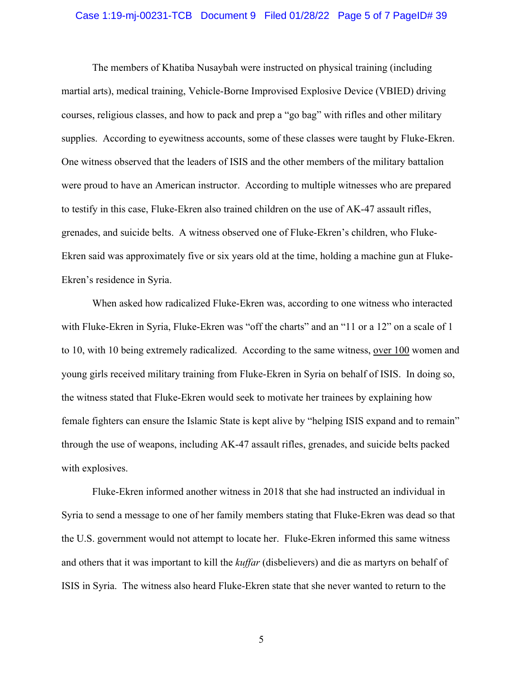#### Case 1:19-mj-00231-TCB Document 9 Filed 01/28/22 Page 5 of 7 PageID# 39

The members of Khatiba Nusaybah were instructed on physical training (including martial arts), medical training, Vehicle-Borne Improvised Explosive Device (VBIED) driving courses, religious classes, and how to pack and prep a "go bag" with rifles and other military supplies. According to eyewitness accounts, some of these classes were taught by Fluke-Ekren. One witness observed that the leaders of ISIS and the other members of the military battalion were proud to have an American instructor. According to multiple witnesses who are prepared to testify in this case, Fluke-Ekren also trained children on the use of AK-47 assault rifles, grenades, and suicide belts. A witness observed one of Fluke-Ekren's children, who Fluke-Ekren said was approximately five or six years old at the time, holding a machine gun at Fluke-Ekren's residence in Syria.

When asked how radicalized Fluke-Ekren was, according to one witness who interacted with Fluke-Ekren in Syria, Fluke-Ekren was "off the charts" and an "11 or a 12" on a scale of 1 to 10, with 10 being extremely radicalized. According to the same witness, over 100 women and young girls received military training from Fluke-Ekren in Syria on behalf of ISIS. In doing so, the witness stated that Fluke-Ekren would seek to motivate her trainees by explaining how female fighters can ensure the Islamic State is kept alive by "helping ISIS expand and to remain" through the use of weapons, including AK-47 assault rifles, grenades, and suicide belts packed with explosives.

Fluke-Ekren informed another witness in 2018 that she had instructed an individual in Syria to send a message to one of her family members stating that Fluke-Ekren was dead so that the U.S. government would not attempt to locate her. Fluke-Ekren informed this same witness and others that it was important to kill the *kuffar* (disbelievers) and die as martyrs on behalf of ISIS in Syria. The witness also heard Fluke-Ekren state that she never wanted to return to the

5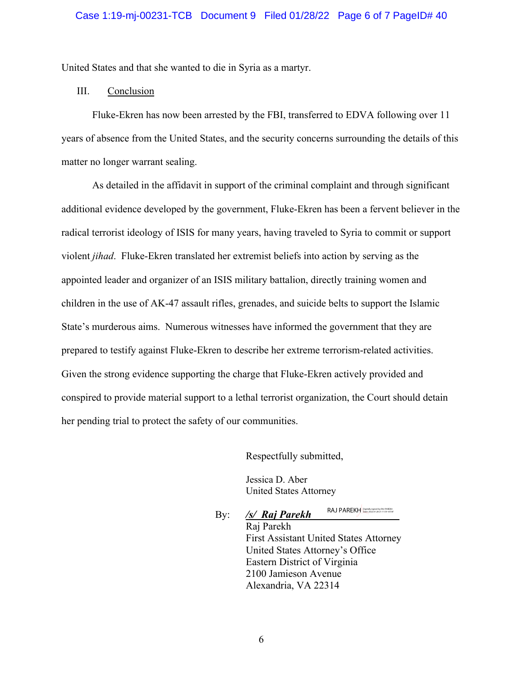United States and that she wanted to die in Syria as a martyr.

## III. Conclusion

Fluke-Ekren has now been arrested by the FBI, transferred to EDVA following over 11 years of absence from the United States, and the security concerns surrounding the details of this matter no longer warrant sealing.

As detailed in the affidavit in support of the criminal complaint and through significant additional evidence developed by the government, Fluke-Ekren has been a fervent believer in the radical terrorist ideology of ISIS for many years, having traveled to Syria to commit or support violent *jihad*. Fluke-Ekren translated her extremist beliefs into action by serving as the appointed leader and organizer of an ISIS military battalion, directly training women and children in the use of AK-47 assault rifles, grenades, and suicide belts to support the Islamic State's murderous aims. Numerous witnesses have informed the government that they are prepared to testify against Fluke-Ekren to describe her extreme terrorism-related activities. Given the strong evidence supporting the charge that Fluke-Ekren actively provided and conspired to provide material support to a lethal terrorist organization, the Court should detain her pending trial to protect the safety of our communities.

Respectfully submitted,

Jessica D. Aber United States Attorney

By: */s/ Raj Parekh*  RAJ PAREKH Digitally signed by RAJ PAREKH Date: 2022.01.28 21:11:59 -05'00'

> Raj Parekh First Assistant United States Attorney United States Attorney's Office Eastern District of Virginia 2100 Jamieson Avenue Alexandria, VA 22314